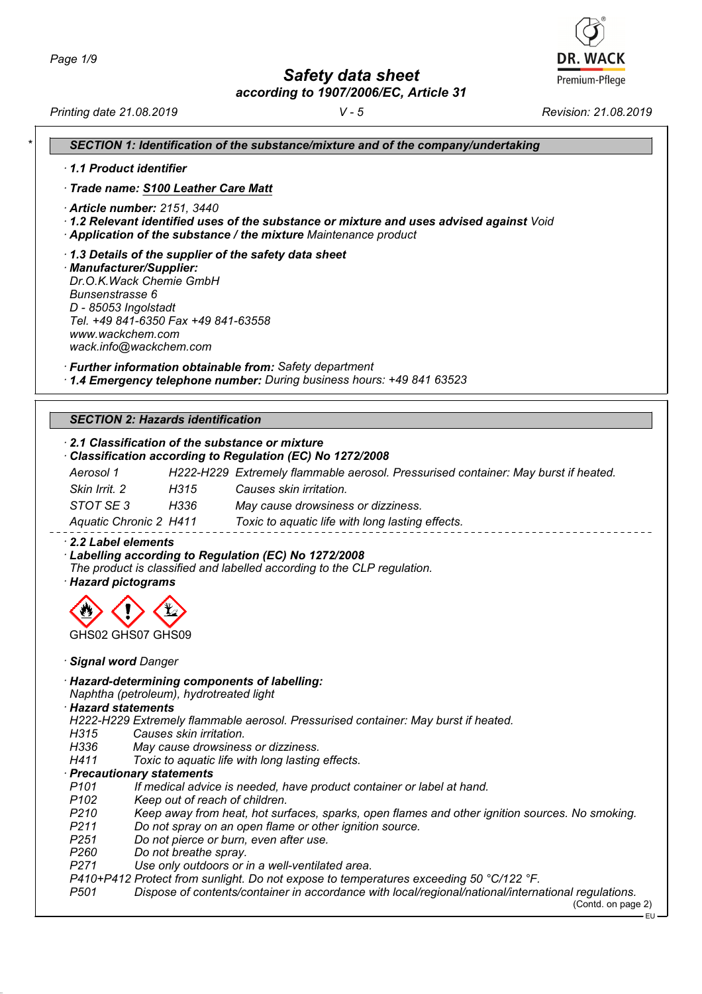*Safety data sheet*

*according to 1907/2006/EC, Article 31*

**DR. WACK** Premium-Pflege

|                                      | 1.1 Product identifier                                                                                                                                                                                                    |
|--------------------------------------|---------------------------------------------------------------------------------------------------------------------------------------------------------------------------------------------------------------------------|
|                                      | · Trade name: S100 Leather Care Matt                                                                                                                                                                                      |
|                                      | · Article number: 2151, 3440<br>· 1.2 Relevant identified uses of the substance or mixture and uses advised against Void<br>Application of the substance / the mixture Maintenance product                                |
| <b>Bunsenstrasse 6</b>               | 1.3 Details of the supplier of the safety data sheet<br>· Manufacturer/Supplier:<br>Dr.O.K. Wack Chemie GmbH<br>D - 85053 Ingolstadt<br>Tel. +49 841-6350 Fax +49 841-63558<br>www.wackchem.com<br>wack.info@wackchem.com |
|                                      | · Further information obtainable from: Safety department<br>1.4 Emergency telephone number: During business hours: +49 841 63523                                                                                          |
|                                      | <b>SECTION 2: Hazards identification</b>                                                                                                                                                                                  |
|                                      | 2.1 Classification of the substance or mixture<br>Classification according to Regulation (EC) No 1272/2008                                                                                                                |
| Aerosol 1                            | H222-H229 Extremely flammable aerosol. Pressurised container: May burst if heated.                                                                                                                                        |
| Skin Irrit. 2                        | H315<br>Causes skin irritation.                                                                                                                                                                                           |
| STOT SE3                             | H336<br>May cause drowsiness or dizziness.                                                                                                                                                                                |
|                                      | Aquatic Chronic 2 H411<br>Toxic to aquatic life with long lasting effects.                                                                                                                                                |
|                                      | 2.2 Label elements<br>Labelling according to Regulation (EC) No 1272/2008                                                                                                                                                 |
|                                      | The product is classified and labelled according to the CLP regulation.                                                                                                                                                   |
|                                      | GHS02 GHS07 GHS09<br>· Signal word Danger                                                                                                                                                                                 |
| · Hazard statements                  | · Hazard-determining components of labelling:<br>Naphtha (petroleum), hydrotreated light                                                                                                                                  |
| · Hazard pictograms                  | H222-H229 Extremely flammable aerosol. Pressurised container: May burst if heated.                                                                                                                                        |
| H315                                 | Causes skin irritation.                                                                                                                                                                                                   |
| H336                                 | May cause drowsiness or dizziness.                                                                                                                                                                                        |
| H411                                 | Toxic to aquatic life with long lasting effects.                                                                                                                                                                          |
|                                      | · Precautionary statements                                                                                                                                                                                                |
| P <sub>101</sub><br>P <sub>102</sub> | If medical advice is needed, have product container or label at hand.                                                                                                                                                     |
| P <sub>210</sub>                     | Keep out of reach of children.<br>Keep away from heat, hot surfaces, sparks, open flames and other ignition sources. No smoking.                                                                                          |
| P <sub>211</sub>                     | Do not spray on an open flame or other ignition source.                                                                                                                                                                   |
| P <sub>251</sub>                     | Do not pierce or burn, even after use.                                                                                                                                                                                    |
| P <sub>260</sub>                     | Do not breathe spray.                                                                                                                                                                                                     |
| P271                                 | Use only outdoors or in a well-ventilated area.<br>P410+P412 Protect from sunlight. Do not expose to temperatures exceeding 50 °C/122 °F.                                                                                 |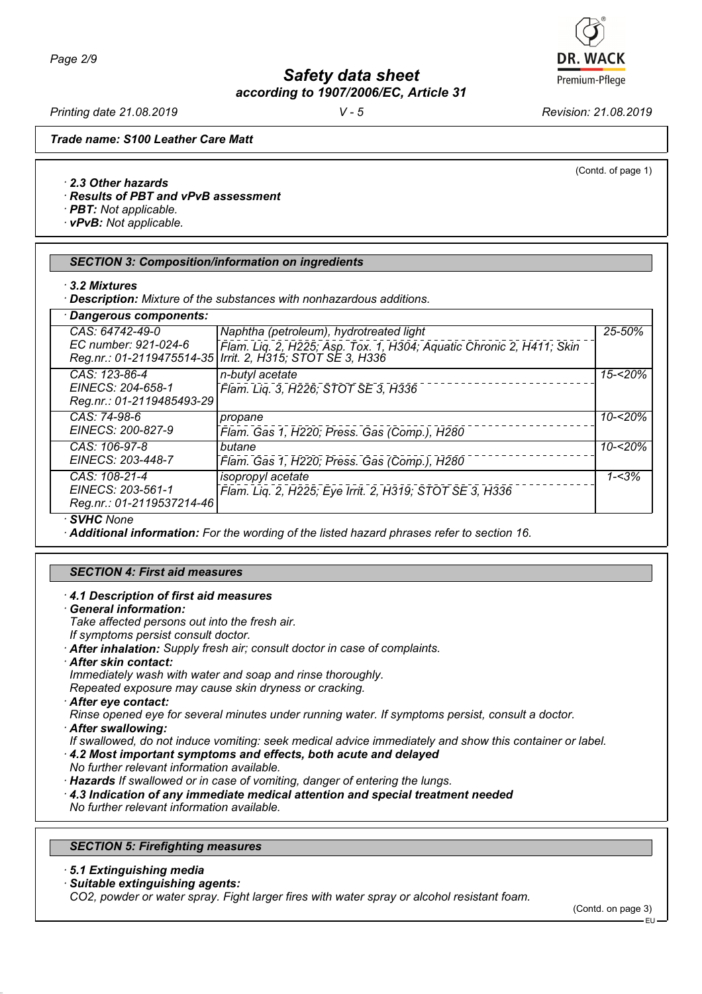# *Safety data sheet*

*according to 1907/2006/EC, Article 31*

*Printing date 21.08.2019 V - 5 Revision: 21.08.2019*

(Contd. of page 1)

*Trade name: S100 Leather Care Matt*

*· 2.3 Other hazards*

*· Results of PBT and vPvB assessment*

*· PBT: Not applicable.*

*· vPvB: Not applicable.*

### *SECTION 3: Composition/information on ingredients*

- *· 3.2 Mixtures*
- *· Description: Mixture of the substances with nonhazardous additions.*

| Dangerous components:                                           |                                                                                                                                                                                |            |
|-----------------------------------------------------------------|--------------------------------------------------------------------------------------------------------------------------------------------------------------------------------|------------|
| CAS: 64742-49-0<br>EC number: 921-024-6                         | Naphtha (petroleum), hydrotreated light<br>Flam. Liq. 2, H225; Asp. Tox. 1, H304; Aquatic Chronic 2, H411; Skin<br>Reg.nr.: 01-2119475514-35   Irrit. 2, H315; STOT SE 3, H336 | $25 - 50%$ |
| CAS: 123-86-4<br>EINECS: 204-658-1<br>Reg.nr.: 01-2119485493-29 | n-butyl acetate<br>Flam. Lig. 3, H226; STOT SE 3, H336                                                                                                                         | $15 - 20%$ |
| CAS: 74-98-6<br>EINECS: 200-827-9                               | propane<br>Flam. Gas 1, H220; Press. Gas (Comp.), H280                                                                                                                         | $10 - 20%$ |
| CAS: 106-97-8<br>EINECS: 203-448-7                              | butane<br>Flam. Gas 1, H220; Press. Gas (Comp.), H280                                                                                                                          | $10 - 20%$ |
| CAS: 108-21-4<br>EINECS: 203-561-1<br>Reg.nr.: 01-2119537214-46 | isopropyl acetate<br>Flam. Liq. 2, H225; Eye Irrit. 2, H319; STOT SE 3, H336                                                                                                   | $1 - 3%$   |

*· SVHC None*

*· Additional information: For the wording of the listed hazard phrases refer to section 16.*

#### *SECTION 4: First aid measures*

#### *· 4.1 Description of first aid measures*

*· General information:*

*Take affected persons out into the fresh air.*

*If symptoms persist consult doctor.*

- *· After inhalation: Supply fresh air; consult doctor in case of complaints.*
- *· After skin contact:*

*Immediately wash with water and soap and rinse thoroughly.*

*Repeated exposure may cause skin dryness or cracking.*

*· After eye contact:*

*Rinse opened eye for several minutes under running water. If symptoms persist, consult a doctor.*

*· After swallowing:*

*If swallowed, do not induce vomiting: seek medical advice immediately and show this container or label.*

*· 4.2 Most important symptoms and effects, both acute and delayed*

*No further relevant information available.*

*· Hazards If swallowed or in case of vomiting, danger of entering the lungs.*

*· 4.3 Indication of any immediate medical attention and special treatment needed*

*No further relevant information available.*

## *SECTION 5: Firefighting measures*

- *· 5.1 Extinguishing media*
- *· Suitable extinguishing agents:*

*CO2, powder or water spray. Fight larger fires with water spray or alcohol resistant foam.*



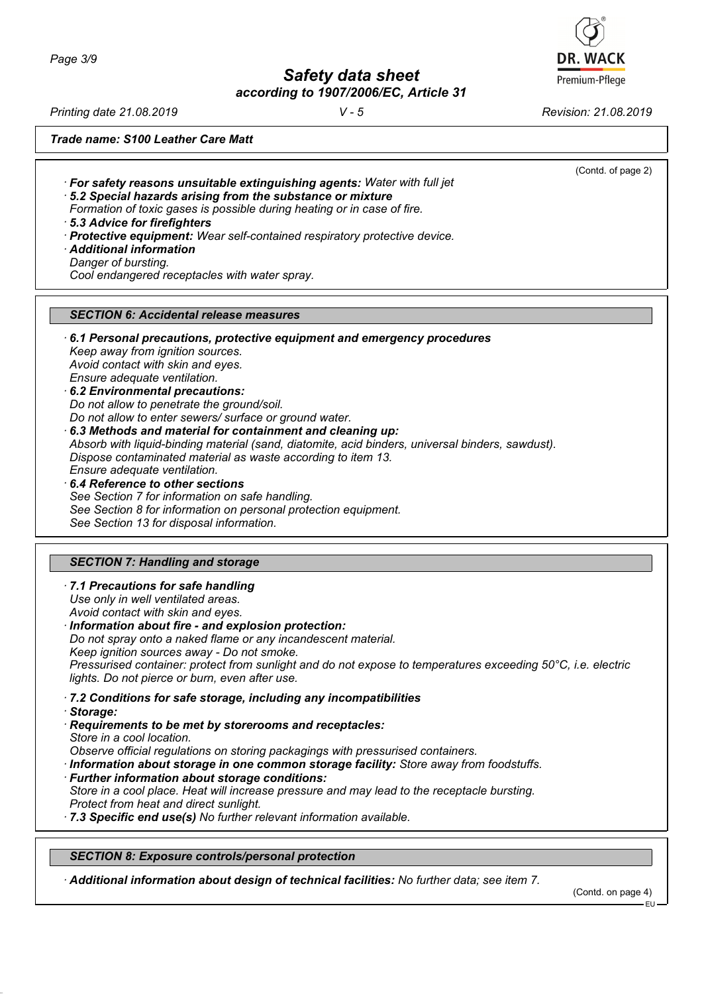*Page 3/9*

*Safety data sheet*

*according to 1907/2006/EC, Article 31*

*Printing date 21.08.2019 V - 5 Revision: 21.08.2019*

(Contd. of page 2)

*Trade name: S100 Leather Care Matt*

*· For safety reasons unsuitable extinguishing agents: Water with full jet*

*· 5.2 Special hazards arising from the substance or mixture*

*Formation of toxic gases is possible during heating or in case of fire.*

*· 5.3 Advice for firefighters*

- *· Protective equipment: Wear self-contained respiratory protective device.*
- *· Additional information*
- *Danger of bursting.*

*Cool endangered receptacles with water spray.*

# *SECTION 6: Accidental release measures*

- *· 6.1 Personal precautions, protective equipment and emergency procedures Keep away from ignition sources. Avoid contact with skin and eyes. Ensure adequate ventilation.*
- *· 6.2 Environmental precautions: Do not allow to penetrate the ground/soil. Do not allow to enter sewers/ surface or ground water.*
- *· 6.3 Methods and material for containment and cleaning up: Absorb with liquid-binding material (sand, diatomite, acid binders, universal binders, sawdust). Dispose contaminated material as waste according to item 13. Ensure adequate ventilation.*
- *· 6.4 Reference to other sections See Section 7 for information on safe handling. See Section 8 for information on personal protection equipment. See Section 13 for disposal information.*

# *SECTION 7: Handling and storage*

*· 7.1 Precautions for safe handling Use only in well ventilated areas. Avoid contact with skin and eyes.*

*· Information about fire - and explosion protection: Do not spray onto a naked flame or any incandescent material. Keep ignition sources away - Do not smoke. Pressurised container: protect from sunlight and do not expose to temperatures exceeding 50°C, i.e. electric lights. Do not pierce or burn, even after use.*

- *· 7.2 Conditions for safe storage, including any incompatibilities*
- *· Storage:*
- *· Requirements to be met by storerooms and receptacles: Store in a cool location.*
- *Observe official regulations on storing packagings with pressurised containers.*
- *· Information about storage in one common storage facility: Store away from foodstuffs.*
- *· Further information about storage conditions:*

*Store in a cool place. Heat will increase pressure and may lead to the receptacle bursting. Protect from heat and direct sunlight.*

*· 7.3 Specific end use(s) No further relevant information available.*

*SECTION 8: Exposure controls/personal protection*

*· Additional information about design of technical facilities: No further data; see item 7.*

(Contd. on page 4)

EU

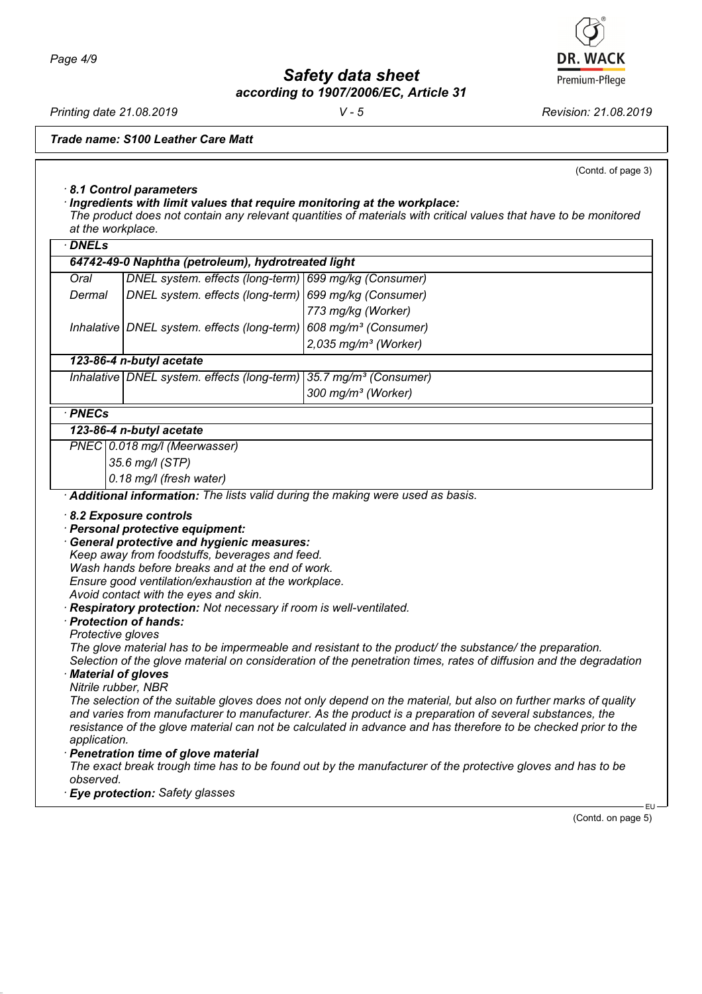*Safety data sheet*

*according to 1907/2006/EC, Article 31*

*Printing date 21.08.2019 V - 5 Revision: 21.08.2019*

*Trade name: S100 Leather Care Matt*

(Contd. of page 3)

# *· 8.1 Control parameters*

*· Ingredients with limit values that require monitoring at the workplace: The product does not contain any relevant quantities of materials with critical values that have to be monitored at the workplace.*

| $\cdot$ DNELs                                                                                 |                                                                                                                                                                                                                                                                                                                                                                                                                                    |                                                                                                                                                                                                                                                                                                                                                                                                                                                                                                                                                                                                                                                                                                   |
|-----------------------------------------------------------------------------------------------|------------------------------------------------------------------------------------------------------------------------------------------------------------------------------------------------------------------------------------------------------------------------------------------------------------------------------------------------------------------------------------------------------------------------------------|---------------------------------------------------------------------------------------------------------------------------------------------------------------------------------------------------------------------------------------------------------------------------------------------------------------------------------------------------------------------------------------------------------------------------------------------------------------------------------------------------------------------------------------------------------------------------------------------------------------------------------------------------------------------------------------------------|
|                                                                                               | 64742-49-0 Naphtha (petroleum), hydrotreated light                                                                                                                                                                                                                                                                                                                                                                                 |                                                                                                                                                                                                                                                                                                                                                                                                                                                                                                                                                                                                                                                                                                   |
| Oral                                                                                          | DNEL system. effects (long-term)                                                                                                                                                                                                                                                                                                                                                                                                   | 699 mg/kg (Consumer)                                                                                                                                                                                                                                                                                                                                                                                                                                                                                                                                                                                                                                                                              |
| Dermal                                                                                        | DNEL system. effects (long-term)                                                                                                                                                                                                                                                                                                                                                                                                   | 699 mg/kg (Consumer)                                                                                                                                                                                                                                                                                                                                                                                                                                                                                                                                                                                                                                                                              |
|                                                                                               |                                                                                                                                                                                                                                                                                                                                                                                                                                    | 773 mg/kg (Worker)                                                                                                                                                                                                                                                                                                                                                                                                                                                                                                                                                                                                                                                                                |
|                                                                                               | Inhalative DNEL system. effects (long-term)                                                                                                                                                                                                                                                                                                                                                                                        | 608 mg/m <sup>3</sup> (Consumer)                                                                                                                                                                                                                                                                                                                                                                                                                                                                                                                                                                                                                                                                  |
|                                                                                               |                                                                                                                                                                                                                                                                                                                                                                                                                                    | $2,035$ mg/m <sup>3</sup> (Worker)                                                                                                                                                                                                                                                                                                                                                                                                                                                                                                                                                                                                                                                                |
|                                                                                               | 123-86-4 n-butyl acetate                                                                                                                                                                                                                                                                                                                                                                                                           |                                                                                                                                                                                                                                                                                                                                                                                                                                                                                                                                                                                                                                                                                                   |
|                                                                                               | Inhalative DNEL system. effects (long-term)                                                                                                                                                                                                                                                                                                                                                                                        | 35.7 mg/m <sup>3</sup> (Consumer)                                                                                                                                                                                                                                                                                                                                                                                                                                                                                                                                                                                                                                                                 |
|                                                                                               |                                                                                                                                                                                                                                                                                                                                                                                                                                    | 300 mg/m <sup>3</sup> (Worker)                                                                                                                                                                                                                                                                                                                                                                                                                                                                                                                                                                                                                                                                    |
| $\cdot$ PNECs                                                                                 |                                                                                                                                                                                                                                                                                                                                                                                                                                    |                                                                                                                                                                                                                                                                                                                                                                                                                                                                                                                                                                                                                                                                                                   |
|                                                                                               | 123-86-4 n-butyl acetate                                                                                                                                                                                                                                                                                                                                                                                                           |                                                                                                                                                                                                                                                                                                                                                                                                                                                                                                                                                                                                                                                                                                   |
|                                                                                               | PNEC 0.018 mg/l (Meerwasser)                                                                                                                                                                                                                                                                                                                                                                                                       |                                                                                                                                                                                                                                                                                                                                                                                                                                                                                                                                                                                                                                                                                                   |
|                                                                                               | 35.6 mg/l (STP)                                                                                                                                                                                                                                                                                                                                                                                                                    |                                                                                                                                                                                                                                                                                                                                                                                                                                                                                                                                                                                                                                                                                                   |
|                                                                                               | 0.18 mg/l (fresh water)                                                                                                                                                                                                                                                                                                                                                                                                            |                                                                                                                                                                                                                                                                                                                                                                                                                                                                                                                                                                                                                                                                                                   |
|                                                                                               | · Additional information: The lists valid during the making were used as basis.                                                                                                                                                                                                                                                                                                                                                    |                                                                                                                                                                                                                                                                                                                                                                                                                                                                                                                                                                                                                                                                                                   |
| Protective gloves<br>· Material of gloves<br>Nitrile rubber, NBR<br>application.<br>observed. | <b>General protective and hygienic measures:</b><br>Keep away from foodstuffs, beverages and feed.<br>Wash hands before breaks and at the end of work.<br>Ensure good ventilation/exhaustion at the workplace.<br>Avoid contact with the eyes and skin.<br>Respiratory protection: Not necessary if room is well-ventilated.<br>· Protection of hands:<br>· Penetration time of glove material<br>· Eye protection: Safety glasses | The glove material has to be impermeable and resistant to the product/ the substance/ the preparation.<br>Selection of the glove material on consideration of the penetration times, rates of diffusion and the degradation<br>The selection of the suitable gloves does not only depend on the material, but also on further marks of quality<br>and varies from manufacturer to manufacturer. As the product is a preparation of several substances, the<br>resistance of the glove material can not be calculated in advance and has therefore to be checked prior to the<br>The exact break trough time has to be found out by the manufacturer of the protective gloves and has to be<br>·EU |
|                                                                                               |                                                                                                                                                                                                                                                                                                                                                                                                                                    | (Contd. on page 5)                                                                                                                                                                                                                                                                                                                                                                                                                                                                                                                                                                                                                                                                                |

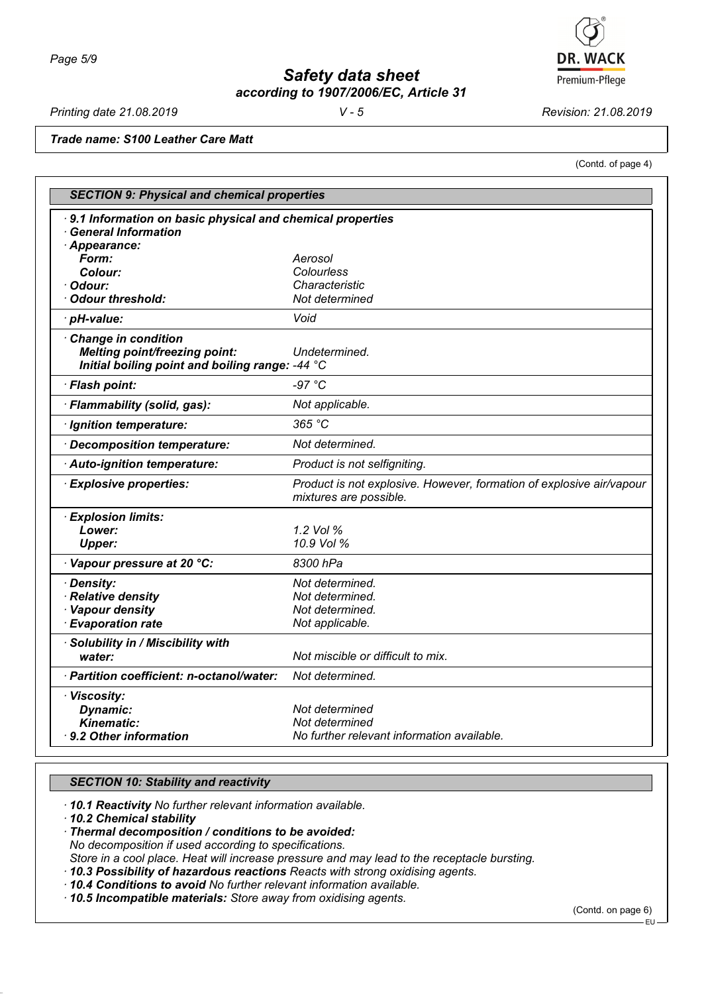

*Printing date 21.08.2019 V - 5 Revision: 21.08.2019*

(Contd. of page 4)

*Trade name: S100 Leather Care Matt*

| <b>SECTION 9: Physical and chemical properties</b>                                                                    |                                                                                                |  |
|-----------------------------------------------------------------------------------------------------------------------|------------------------------------------------------------------------------------------------|--|
| 9.1 Information on basic physical and chemical properties<br><b>General Information</b>                               |                                                                                                |  |
| Appearance:<br>Form:                                                                                                  | Aerosol                                                                                        |  |
| Colour:                                                                                                               | Colourless                                                                                     |  |
| Odour:                                                                                                                | Characteristic                                                                                 |  |
| <b>Odour threshold:</b>                                                                                               | Not determined                                                                                 |  |
| · pH-value:                                                                                                           | Void                                                                                           |  |
| <b>Change in condition</b><br><b>Melting point/freezing point:</b><br>Initial boiling point and boiling range: -44 °C | Undetermined.                                                                                  |  |
| · Flash point:                                                                                                        | $-97 °C$                                                                                       |  |
| · Flammability (solid, gas):                                                                                          | Not applicable.                                                                                |  |
| · Ignition temperature:                                                                                               | 365 °C                                                                                         |  |
| Decomposition temperature:                                                                                            | Not determined.                                                                                |  |
| Auto-ignition temperature:                                                                                            | Product is not selfigniting.                                                                   |  |
| <b>Explosive properties:</b>                                                                                          | Product is not explosive. However, formation of explosive air/vapour<br>mixtures are possible. |  |
| <b>Explosion limits:</b>                                                                                              |                                                                                                |  |
| Lower:                                                                                                                | 1.2 Vol %                                                                                      |  |
| <b>Upper:</b>                                                                                                         | 10.9 Vol %                                                                                     |  |
| Vapour pressure at 20 °C:                                                                                             | 8300 hPa                                                                                       |  |
| <b>Density:</b>                                                                                                       | Not determined.                                                                                |  |
| <b>Relative density</b>                                                                                               | Not determined.                                                                                |  |
| <b>Vapour density</b>                                                                                                 | Not determined.                                                                                |  |
| <b>Evaporation rate</b>                                                                                               | Not applicable.                                                                                |  |
| Solubility in / Miscibility with                                                                                      |                                                                                                |  |
| water:                                                                                                                | Not miscible or difficult to mix.                                                              |  |
| · Partition coefficient: n-octanol/water:                                                                             | Not determined.                                                                                |  |
| · Viscosity:                                                                                                          |                                                                                                |  |
| Dynamic:                                                                                                              | Not determined                                                                                 |  |
| <b>Kinematic:</b>                                                                                                     | Not determined                                                                                 |  |
| $\cdot$ 9.2 Other information                                                                                         | No further relevant information available.                                                     |  |

#### *SECTION 10: Stability and reactivity*

*· 10.1 Reactivity No further relevant information available.*

*· 10.2 Chemical stability*

*· Thermal decomposition / conditions to be avoided: No decomposition if used according to specifications. Store in a cool place. Heat will increase pressure and may lead to the receptacle bursting.*

*· 10.3 Possibility of hazardous reactions Reacts with strong oxidising agents.*

*· 10.4 Conditions to avoid No further relevant information available.*

*· 10.5 Incompatible materials: Store away from oxidising agents.*

(Contd. on page 6)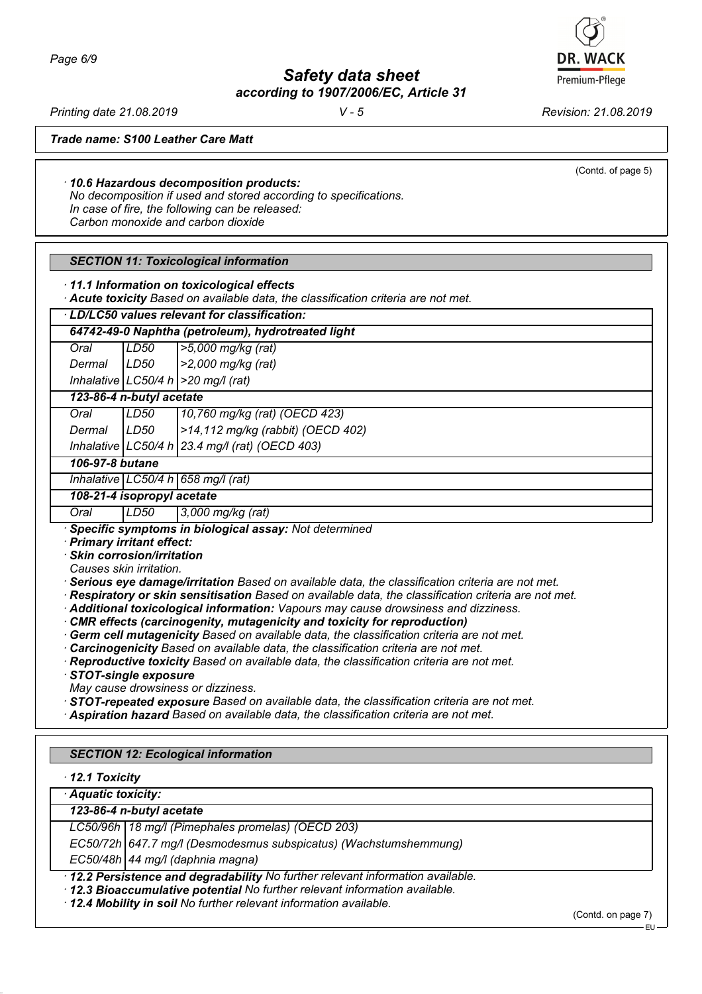Premium-Pflege

*Printing date 21.08.2019 V - 5 Revision: 21.08.2019*

(Contd. of page 5)

*Trade name: S100 Leather Care Matt*

*· 10.6 Hazardous decomposition products: No decomposition if used and stored according to specifications.*

*In case of fire, the following can be released: Carbon monoxide and carbon dioxide*

| <b>SECTION 11: Toxicological information</b> |  |  |
|----------------------------------------------|--|--|
|----------------------------------------------|--|--|

*· 11.1 Information on toxicological effects*

*· Acute toxicity Based on available data, the classification criteria are not met.*

|      |      | 64742-49-0 Naphtha (petroleum), hydrotreated light |
|------|------|----------------------------------------------------|
| Oral | LD50 | $ >5,000$ mg/kg (rat)                              |

*Dermal LD50 >2,000 mg/kg (rat) Inhalative LC50/4 h >20 mg/l (rat)*

*123-86-4 n-butyl acetate*

| Oral   | LD50 | 10,760 mg/kg (rat) (OECD 423)                      |
|--------|------|----------------------------------------------------|
| Dermal | LD50 | >14,112 mg/kg (rabbit) (OECD 402)                  |
|        |      | Inhalative   LC50/4 h   23.4 mg/l (rat) (OECD 403) |

# *106-97-8 butane*

*Inhalative LC50/4 h 658 mg/l (rat)*

*108-21-4 isopropyl acetate*

*Oral LD50 3,000 mg/kg (rat)*

*· Specific symptoms in biological assay: Not determined*

*· Primary irritant effect:*

*· Skin corrosion/irritation*

*Causes skin irritation.*

*· Serious eye damage/irritation Based on available data, the classification criteria are not met.*

- *· Respiratory or skin sensitisation Based on available data, the classification criteria are not met.*
- *· Additional toxicological information: Vapours may cause drowsiness and dizziness.*
- *CMR effects (carcinogenity, mutagenicity and toxicity for reproduction)*
- *· Germ cell mutagenicity Based on available data, the classification criteria are not met.*
- *· Carcinogenicity Based on available data, the classification criteria are not met.*

*· Reproductive toxicity Based on available data, the classification criteria are not met.*

*· STOT-single exposure*

- *May cause drowsiness or dizziness.*
- *· STOT-repeated exposure Based on available data, the classification criteria are not met.*
- *· Aspiration hazard Based on available data, the classification criteria are not met.*

# *SECTION 12: Ecological information*

*· 12.1 Toxicity*

*· Aquatic toxicity:*

*123-86-4 n-butyl acetate*

*LC50/96h 18 mg/l (Pimephales promelas) (OECD 203)*

*EC50/72h 647.7 mg/l (Desmodesmus subspicatus) (Wachstumshemmung)*

*EC50/48h 44 mg/l (daphnia magna)*

*· 12.2 Persistence and degradability No further relevant information available.*

*· 12.3 Bioaccumulative potential No further relevant information available.*

*· 12.4 Mobility in soil No further relevant information available.*

(Contd. on page 7)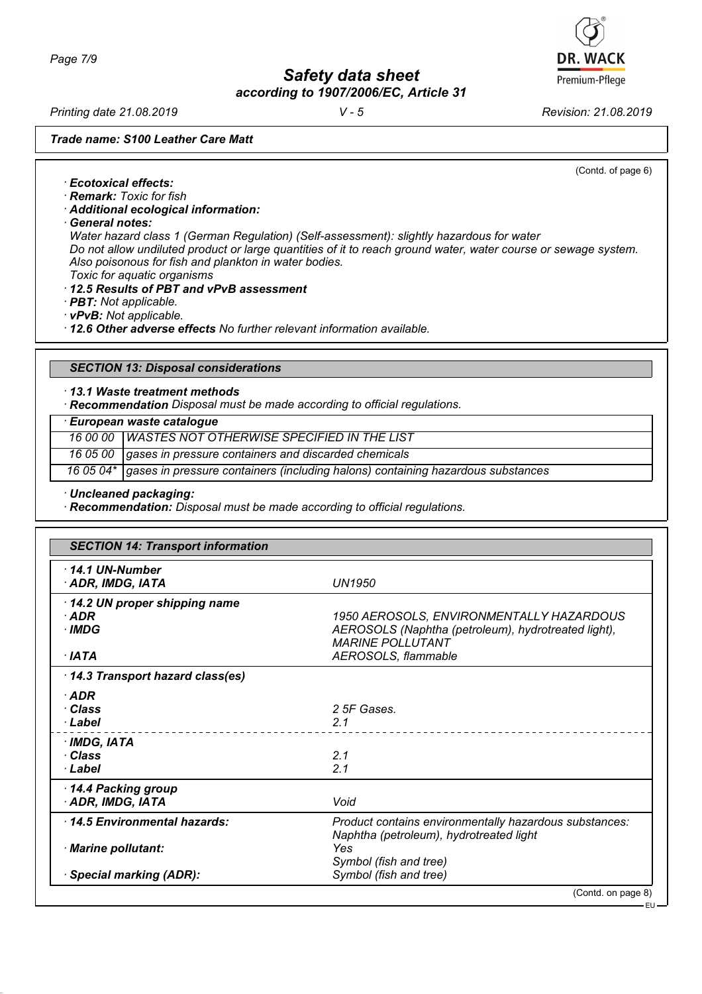*Printing date 21.08.2019 V - 5 Revision: 21.08.2019*

*Trade name: S100 Leather Care Matt*

(Contd. of page 6)

EU

- *· Ecotoxical effects:*
- *· Remark: Toxic for fish*
- *· Additional ecological information:*
- *· General notes:*

*Water hazard class 1 (German Regulation) (Self-assessment): slightly hazardous for water Do not allow undiluted product or large quantities of it to reach ground water, water course or sewage system. Also poisonous for fish and plankton in water bodies. Toxic for aquatic organisms*

- *· 12.5 Results of PBT and vPvB assessment*
- *· PBT: Not applicable.*
- *· vPvB: Not applicable.*

*· 12.6 Other adverse effects No further relevant information available.*

#### *SECTION 13: Disposal considerations*

*· 13.1 Waste treatment methods*

*· Recommendation Disposal must be made according to official regulations.*

*· European waste catalogue*

*16 00 00 WASTES NOT OTHERWISE SPECIFIED IN THE LIST*

*16 05 00 gases in pressure containers and discarded chemicals*

*16 05 04\* gases in pressure containers (including halons) containing hazardous substances*

*· Uncleaned packaging:*

*· Recommendation: Disposal must be made according to official regulations.*

| <b>SECTION 14: Transport information</b>          |                                                                                                                            |  |
|---------------------------------------------------|----------------------------------------------------------------------------------------------------------------------------|--|
| $\cdot$ 14.1 UN-Number<br>· ADR, IMDG, IATA       | <b>UN1950</b>                                                                                                              |  |
| 14.2 UN proper shipping name<br>$·$ ADR<br>· IMDG | 1950 AEROSOLS, ENVIRONMENTALLY HAZARDOUS<br>AEROSOLS (Naphtha (petroleum), hydrotreated light),<br><b>MARINE POLLUTANT</b> |  |
| ∙IATA                                             | AEROSOLS, flammable                                                                                                        |  |
| 14.3 Transport hazard class(es)                   |                                                                                                                            |  |
| $·$ ADR<br>∙ Class<br>· Label                     | 2 5F Gases.<br>2.1                                                                                                         |  |
| · IMDG, IATA<br>· Class<br>$\cdot$ Label          | 2.1<br>2.1                                                                                                                 |  |
| 14.4 Packing group<br>· ADR, IMDG, IATA           | Void                                                                                                                       |  |
| 14.5 Environmental hazards:                       | Product contains environmentally hazardous substances:<br>Naphtha (petroleum), hydrotreated light                          |  |
| · Marine pollutant:                               | Yes<br>Symbol (fish and tree)                                                                                              |  |
| · Special marking (ADR):                          | Symbol (fish and tree)                                                                                                     |  |
|                                                   | (Contd. on page 8)                                                                                                         |  |

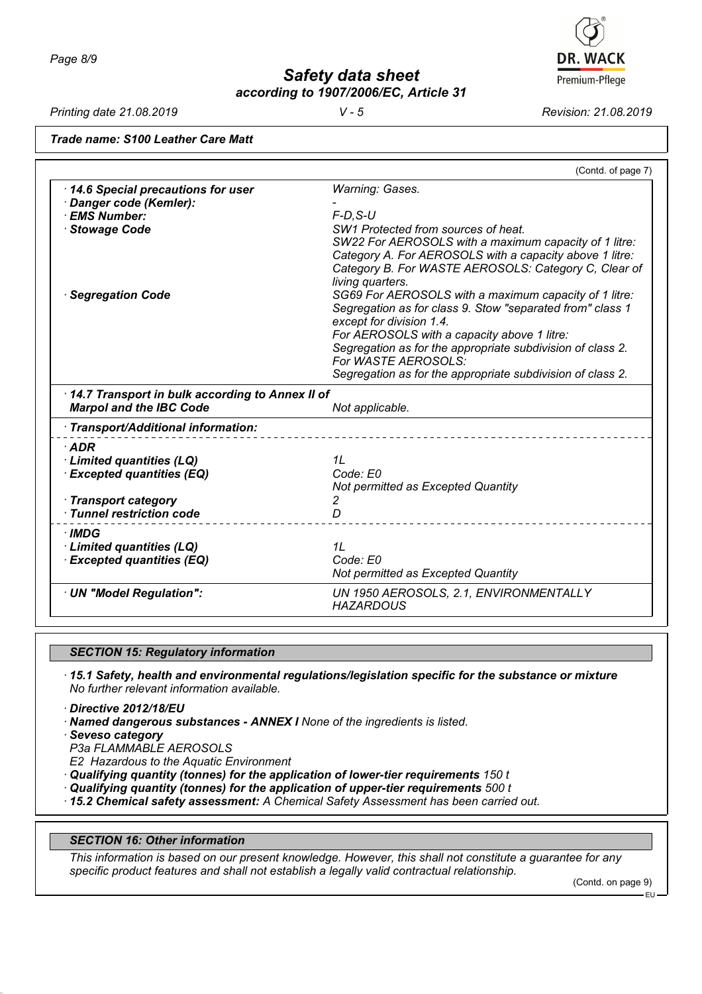*Printing date 21.08.2019 V - 5 Revision: 21.08.2019*

**DR. WACK** Premium-Pflege

*Trade name: S100 Leather Care Matt*

|                                                                                                 | (Contd. of page 7)                                                                                                                                                                                                                                                                                                                                                                                                                                                                                                                               |
|-------------------------------------------------------------------------------------------------|--------------------------------------------------------------------------------------------------------------------------------------------------------------------------------------------------------------------------------------------------------------------------------------------------------------------------------------------------------------------------------------------------------------------------------------------------------------------------------------------------------------------------------------------------|
| 14.6 Special precautions for user<br>· Danger code (Kemler):<br>· EMS Number:<br>· Stowage Code | Warning: Gases.<br>$F$ -D.S-U<br>SW1 Protected from sources of heat.                                                                                                                                                                                                                                                                                                                                                                                                                                                                             |
| <b>Segregation Code</b>                                                                         | SW22 For AEROSOLS with a maximum capacity of 1 litre:<br>Category A. For AEROSOLS with a capacity above 1 litre:<br>Category B. For WASTE AEROSOLS: Category C, Clear of<br>living quarters.<br>SG69 For AEROSOLS with a maximum capacity of 1 litre:<br>Segregation as for class 9. Stow "separated from" class 1<br>except for division 1.4.<br>For AEROSOLS with a capacity above 1 litre:<br>Segregation as for the appropriate subdivision of class 2.<br>For WASTE AEROSOLS:<br>Segregation as for the appropriate subdivision of class 2. |
| 14.7 Transport in bulk according to Annex II of<br><b>Marpol and the IBC Code</b>               | Not applicable.                                                                                                                                                                                                                                                                                                                                                                                                                                                                                                                                  |
| · Transport/Additional information:                                                             |                                                                                                                                                                                                                                                                                                                                                                                                                                                                                                                                                  |
| $·$ ADR<br>· Limited quantities (LQ)<br><b>Excepted quantities (EQ)</b>                         | 1L<br>Code: E0<br>Not permitted as Excepted Quantity                                                                                                                                                                                                                                                                                                                                                                                                                                                                                             |
| · Transport category<br>$\cdot$ Tunnel restriction code                                         | 2<br>D                                                                                                                                                                                                                                                                                                                                                                                                                                                                                                                                           |
| · IMDG<br>· Limited quantities (LQ)<br><b>Excepted quantities (EQ)</b>                          | 1L<br>Code: E0<br>Not permitted as Excepted Quantity                                                                                                                                                                                                                                                                                                                                                                                                                                                                                             |
| · UN "Model Regulation":                                                                        | UN 1950 AEROSOLS, 2.1, ENVIRONMENTALLY<br><b>HAZARDOUS</b>                                                                                                                                                                                                                                                                                                                                                                                                                                                                                       |

## *SECTION 15: Regulatory information*

*· 15.1 Safety, health and environmental regulations/legislation specific for the substance or mixture No further relevant information available.*

*· Directive 2012/18/EU*

*· Named dangerous substances - ANNEX I None of the ingredients is listed.*

*· Seveso category*

*P3a FLAMMABLE AEROSOLS*

*E2 Hazardous to the Aquatic Environment*

*· Qualifying quantity (tonnes) for the application of lower-tier requirements 150 t*

*· Qualifying quantity (tonnes) for the application of upper-tier requirements 500 t*

*· 15.2 Chemical safety assessment: A Chemical Safety Assessment has been carried out.*

#### *SECTION 16: Other information*

*This information is based on our present knowledge. However, this shall not constitute a guarantee for any specific product features and shall not establish a legally valid contractual relationship.*

(Contd. on page 9)